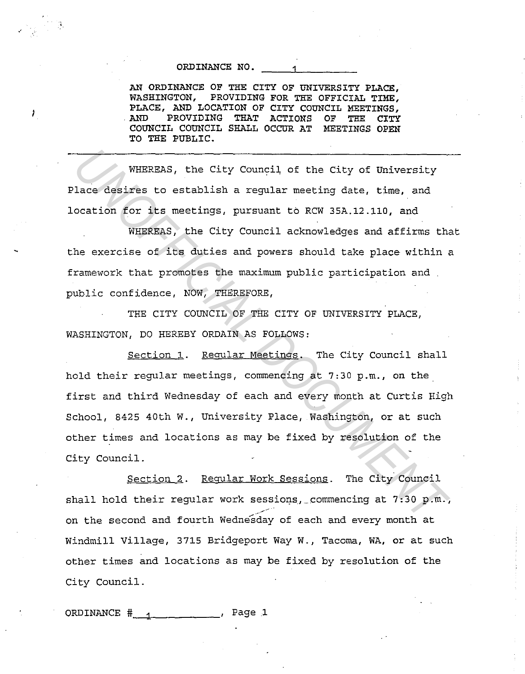## ORDINANCE NO.

•'

Ĵ.

AN ORDINANCE OF THE CITY OF UNIVERSITY PLACE, WASHINGTON, PROVIDING FOR THE OFFICIAL TIME, PLACE, AND LOCATION OF CITY COUNCIL MEETINGS, . AND PROVIDING THAT ACTIONS OF THE CITY COUNCIL COUNCIL SHALL OCCUR AT MEETINGS OPEN TO THE PUBLIC.

WHEREAS, the City Council of the City of University Place desires to establish a regular meeting date, time, and location for its meetings, pursuant to RCW 35A.12.110, and

WHEREAS, the City Council acknowledges and affirms that the exercise of its duties and powers should take place within a framework that promotes the maximum public participation and public confidence, NOW, THEREFORE,

THE CITY COUNCIL OF THE CITY OF UNIVERSITY PLACE. WASHINGTON, DO HEREBY ORDAIN AS FOLLOWS:

Section 1. Regular Meetings. The City Council shall hold their regular meetings, commencing at 7:30 p.m., on the first and third Wednesday of each and every month at Curtis High School, 8425 40th W., University Place, Washington, or at such other times and locations as may be fixed by resolution of the City Council. **WHEREAS, the City Council of the City of University**<br>
lace desires to establish a regular meeting date, time, and<br>
coation for its metings, pursuant to RCW 35A.12.110, and<br>
WHEREAS, the City Council acknowledges and affir

Section 2. Regular Work Sessions. The City Council shall hold their regular work sessions, commencing at  $7:30$  p.m., .<br>. **. .** . . . on the second and fourth Wednesday of each and every month at Windmill Village, 3715 Bridgeport Way W., Tacoma, WA, or at such other times and locations as may be fixed by resolution of the City Council.

ORDINANCE  $\frac{4}{1}$   $\frac{1}{1}$   $\frac{1}{1}$   $\frac{1}{1}$   $\frac{1}{1}$   $\frac{1}{1}$   $\frac{1}{1}$   $\frac{1}{1}$   $\frac{1}{1}$   $\frac{1}{1}$   $\frac{1}{1}$   $\frac{1}{1}$   $\frac{1}{1}$   $\frac{1}{1}$   $\frac{1}{1}$   $\frac{1}{1}$   $\frac{1}{1}$   $\frac{1}{1}$   $\frac{1}{1}$   $\frac{1}{1}$   $\frac{1}{1}$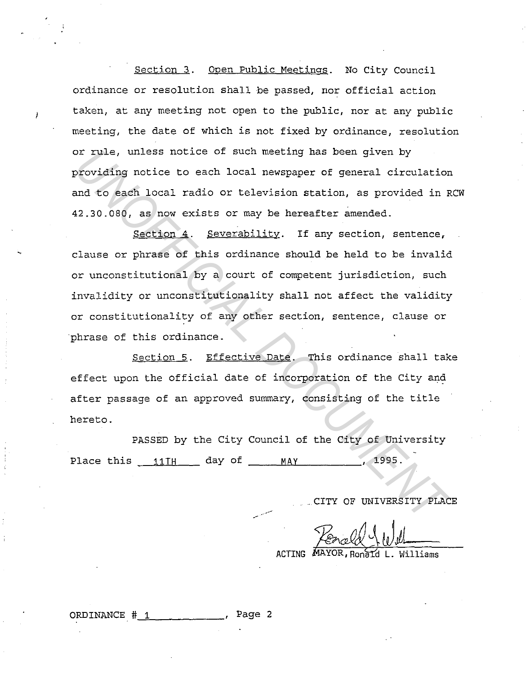Section 3. Open Public Meetings. No City Council ordinance or resolution shall be passed, nor official action taken, at any meeting not open to the public, nor at any public meeting, the date of which is not fixed by ordinance, resolution or rule, unless notice of such meeting has been given by providing notice to each local newspaper of general circulation and to each local radio or television station, as provided in RCW 42.30.080, as now exists or may be hereafter amended.

Section 4. Severability. If any section, sentence, clause or phrase of this ordinance should be held to be invalid or unconstitutional by a court of competent jurisdiction, such invalidity or unconstitutionality shall not affect the validity or constitutionality of any other section, sentence, clause or phrase of this ordinance. Documentary and the City of Exercise of Such meeting has been given by<br> **Providing notice to each local newspaper of general circulation**<br> **E2.30.080, as now exists or may be hereafter amended.**<br> **Section 4. Severability**.

Section 5. Effective Date. This ordinance shall take effect upon the official date of incorporation of the City and after passage of an approved summary, consisting of the title hereto.

PASSED by the City Council of the City of University Place this 11 TH day of MAY MAY , 1995.

 $\mathcal{L}_{\mathcal{L}}$ 

. CITY OF UNIVERSITY PLACE

ACTING MAYOR, Ronald L. Williams

ORDINANCE  $# 1$  . Page 2